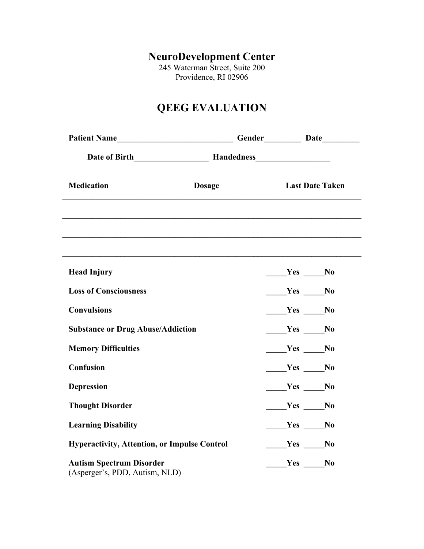# **NeuroDevelopment Center**

245 Waterman Street, Suite 200 Providence, RI 02906

# **QEEG EVALUATION**

| Patient Name                                                      |               |  |          |                        |  |
|-------------------------------------------------------------------|---------------|--|----------|------------------------|--|
| Date of Birth Handedness Handedness                               |               |  |          |                        |  |
| <b>Medication</b>                                                 | <b>Dosage</b> |  |          | <b>Last Date Taken</b> |  |
|                                                                   |               |  |          |                        |  |
| <b>Head Injury</b>                                                |               |  | $Yes$ No |                        |  |
| <b>Loss of Consciousness</b>                                      |               |  | $Yes$ No |                        |  |
| <b>Convulsions</b>                                                |               |  | $Yes$ No |                        |  |
| <b>Substance or Drug Abuse/Addiction</b>                          |               |  | $Yes$ No |                        |  |
| <b>Memory Difficulties</b>                                        |               |  | $Yes$ No |                        |  |
| Confusion                                                         |               |  | $Yes$ No |                        |  |
| <b>Depression</b>                                                 |               |  | $Yes$ No |                        |  |
| <b>Thought Disorder</b>                                           |               |  | $Yes$ No |                        |  |
| <b>Learning Disability</b>                                        |               |  | $Yes$ No |                        |  |
| <b>Hyperactivity, Attention, or Impulse Control</b>               |               |  | $Yes$ No |                        |  |
| <b>Autism Spectrum Disorder</b><br>(Asperger's, PDD, Autism, NLD) |               |  | Yes No   |                        |  |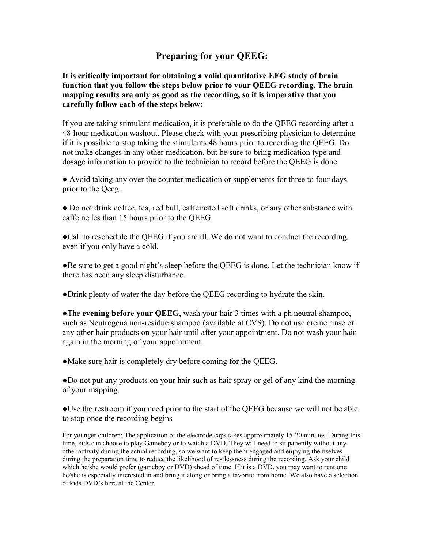#### **Preparing for your QEEG:**

**It is critically important for obtaining a valid quantitative EEG study of brain function that you follow the steps below prior to your QEEG recording. The brain mapping results are only as good as the recording, so it is imperative that you carefully follow each of the steps below:**

If you are taking stimulant medication, it is preferable to do the QEEG recording after a 48-hour medication washout. Please check with your prescribing physician to determine if it is possible to stop taking the stimulants 48 hours prior to recording the QEEG. Do not make changes in any other medication, but be sure to bring medication type and dosage information to provide to the technician to record before the QEEG is done.

● Avoid taking any over the counter medication or supplements for three to four days prior to the Qeeg.

● Do not drink coffee, tea, red bull, caffeinated soft drinks, or any other substance with caffeine les than 15 hours prior to the QEEG.

●Call to reschedule the QEEG if you are ill. We do not want to conduct the recording, even if you only have a cold.

●Be sure to get a good night's sleep before the QEEG is done. Let the technician know if there has been any sleep disturbance.

●Drink plenty of water the day before the QEEG recording to hydrate the skin.

●The **evening before your QEEG**, wash your hair 3 times with a ph neutral shampoo, such as Neutrogena non-residue shampoo (available at CVS). Do not use crème rinse or any other hair products on your hair until after your appointment. Do not wash your hair again in the morning of your appointment.

●Make sure hair is completely dry before coming for the QEEG.

●Do not put any products on your hair such as hair spray or gel of any kind the morning of your mapping.

●Use the restroom if you need prior to the start of the QEEG because we will not be able to stop once the recording begins

For younger children: The application of the electrode caps takes approximately 15-20 minutes. During this time, kids can choose to play Gameboy or to watch a DVD. They will need to sit patiently without any other activity during the actual recording, so we want to keep them engaged and enjoying themselves during the preparation time to reduce the likelihood of restlessness during the recording. Ask your child which he/she would prefer (gameboy or DVD) ahead of time. If it is a DVD, you may want to rent one he/she is especially interested in and bring it along or bring a favorite from home. We also have a selection of kids DVD's here at the Center.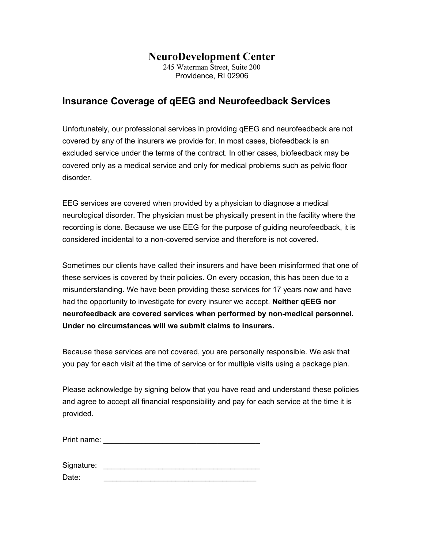# **NeuroDevelopment Center**

245 Waterman Street, Suite 200 Providence, RI 02906

### **Insurance Coverage of qEEG and Neurofeedback Services**

Unfortunately, our professional services in providing qEEG and neurofeedback are not covered by any of the insurers we provide for. In most cases, biofeedback is an excluded service under the terms of the contract. In other cases, biofeedback may be covered only as a medical service and only for medical problems such as pelvic floor disorder.

EEG services are covered when provided by a physician to diagnose a medical neurological disorder. The physician must be physically present in the facility where the recording is done. Because we use EEG for the purpose of guiding neurofeedback, it is considered incidental to a non-covered service and therefore is not covered.

Sometimes our clients have called their insurers and have been misinformed that one of these services is covered by their policies. On every occasion, this has been due to a misunderstanding. We have been providing these services for 17 years now and have had the opportunity to investigate for every insurer we accept. **Neither qEEG nor neurofeedback are covered services when performed by non-medical personnel. Under no circumstances will we submit claims to insurers.**

Because these services are not covered, you are personally responsible. We ask that you pay for each visit at the time of service or for multiple visits using a package plan.

Please acknowledge by signing below that you have read and understand these policies and agree to accept all financial responsibility and pay for each service at the time it is provided.

Print name: \_\_\_\_\_\_\_\_\_\_\_\_\_\_\_\_\_\_\_\_\_\_\_\_\_\_\_\_\_\_\_\_\_\_\_\_\_

| Signature: |  |
|------------|--|
|            |  |

Date: \_\_\_\_\_\_\_\_\_\_\_\_\_\_\_\_\_\_\_\_\_\_\_\_\_\_\_\_\_\_\_\_\_\_\_\_